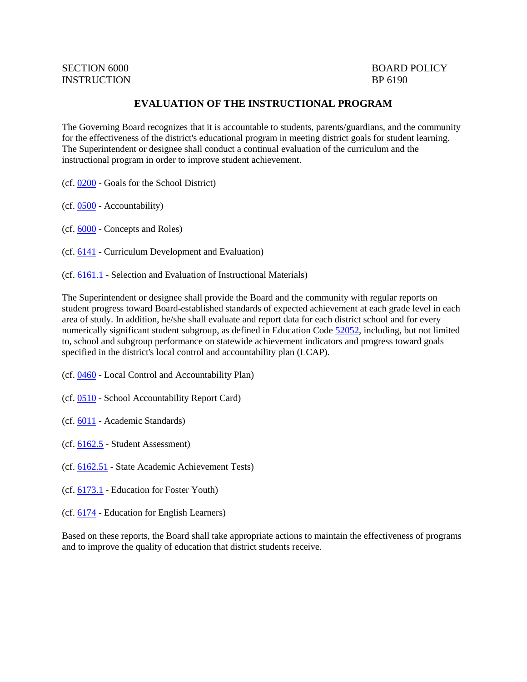# SECTION 6000 BOARD POLICY

## **EVALUATION OF THE INSTRUCTIONAL PROGRAM**

The Governing Board recognizes that it is accountable to students, parents/guardians, and the community for the effectiveness of the district's educational program in meeting district goals for student learning. The Superintendent or designee shall conduct a continual evaluation of the curriculum and the instructional program in order to improve student achievement.

- (cf. [0200](http://gamutonline.net/displayPolicy/909473/6) Goals for the School District)
- (cf. [0500](http://gamutonline.net/displayPolicy/171712/6) Accountability)
- (cf. [6000](http://gamutonline.net/displayPolicy/171240/6) Concepts and Roles)
- (cf. [6141](http://gamutonline.net/displayPolicy/170968/6) Curriculum Development and Evaluation)
- (cf. [6161.1](http://gamutonline.net/displayPolicy/931151/6) Selection and Evaluation of Instructional Materials)

The Superintendent or designee shall provide the Board and the community with regular reports on student progress toward Board-established standards of expected achievement at each grade level in each area of study. In addition, he/she shall evaluate and report data for each district school and for every numerically significant student subgroup, as defined in Education Code [52052,](http://gamutonline.net/displayPolicy/899522/6) including, but not limited to, school and subgroup performance on statewide achievement indicators and progress toward goals specified in the district's local control and accountability plan (LCAP).

- (cf. [0460](http://gamutonline.net/displayPolicy/857369/6) Local Control and Accountability Plan)
- (cf. [0510](http://gamutonline.net/displayPolicy/315724/6) School Accountability Report Card)
- (cf. [6011](http://gamutonline.net/displayPolicy/211099/6) Academic Standards)
- (cf. [6162.5](http://gamutonline.net/displayPolicy/909494/6) Student Assessment)
- (cf. [6162.51](http://gamutonline.net/displayPolicy/352670/6) State Academic Achievement Tests)
- (cf. [6173.1](http://gamutonline.net/displayPolicy/324915/6) Education for Foster Youth)
- (cf. [6174](http://gamutonline.net/displayPolicy/288783/6) Education for English Learners)

Based on these reports, the Board shall take appropriate actions to maintain the effectiveness of programs and to improve the quality of education that district students receive.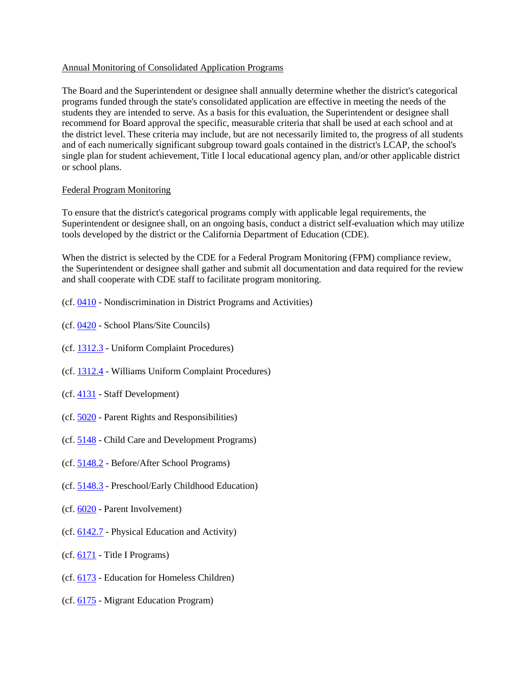#### Annual Monitoring of Consolidated Application Programs

The Board and the Superintendent or designee shall annually determine whether the district's categorical programs funded through the state's consolidated application are effective in meeting the needs of the students they are intended to serve. As a basis for this evaluation, the Superintendent or designee shall recommend for Board approval the specific, measurable criteria that shall be used at each school and at the district level. These criteria may include, but are not necessarily limited to, the progress of all students and of each numerically significant subgroup toward goals contained in the district's LCAP, the school's single plan for student achievement, Title I local educational agency plan, and/or other applicable district or school plans.

#### Federal Program Monitoring

To ensure that the district's categorical programs comply with applicable legal requirements, the Superintendent or designee shall, on an ongoing basis, conduct a district self-evaluation which may utilize tools developed by the district or the California Department of Education (CDE).

When the district is selected by the CDE for a Federal Program Monitoring (FPM) compliance review, the Superintendent or designee shall gather and submit all documentation and data required for the review and shall cooperate with CDE staff to facilitate program monitoring.

- (cf. [0410](http://gamutonline.net/displayPolicy/890898/6) Nondiscrimination in District Programs and Activities)
- (cf. [0420](http://gamutonline.net/displayPolicy/1002197/6) School Plans/Site Councils)
- (cf. [1312.3](http://gamutonline.net/displayPolicy/1074993/6) Uniform Complaint Procedures)
- (cf. [1312.4](http://gamutonline.net/displayPolicy/936007/6) Williams Uniform Complaint Procedures)
- (cf. [4131](http://gamutonline.net/displayPolicy/1002203/6) Staff Development)
- (cf. [5020](http://gamutonline.net/displayPolicy/288762/6) Parent Rights and Responsibilities)
- (cf. [5148](http://gamutonline.net/displayPolicy/1002210/6) Child Care and Development Programs)
- (cf. [5148.2](http://gamutonline.net/displayPolicy/1002212/6) Before/After School Programs)
- (cf. [5148.3](http://gamutonline.net/displayPolicy/1002214/6) Preschool/Early Childhood Education)
- (cf. [6020](http://gamutonline.net/displayPolicy/171184/6) Parent Involvement)
- (cf. [6142.7](http://gamutonline.net/displayPolicy/1036974/6) Physical Education and Activity)
- (cf. [6171](http://gamutonline.net/displayPolicy/288781/6) Title I Programs)
- (cf. [6173](http://gamutonline.net/displayPolicy/274293/6) Education for Homeless Children)
- (cf. [6175](http://gamutonline.net/displayPolicy/303911/6) Migrant Education Program)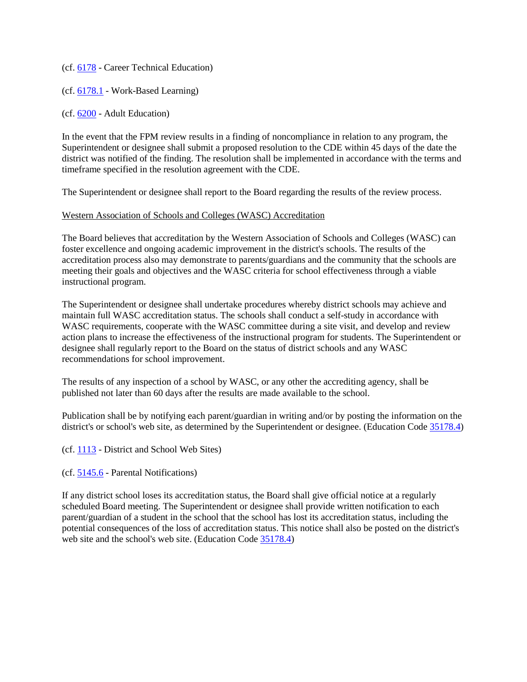(cf. [6178](http://gamutonline.net/displayPolicy/211110/6) - Career Technical Education)

(cf. [6178.1](http://gamutonline.net/displayPolicy/1075012/6) - Work-Based Learning)

(cf. [6200](http://gamutonline.net/displayPolicy/171737/6) - Adult Education)

In the event that the FPM review results in a finding of noncompliance in relation to any program, the Superintendent or designee shall submit a proposed resolution to the CDE within 45 days of the date the district was notified of the finding. The resolution shall be implemented in accordance with the terms and timeframe specified in the resolution agreement with the CDE.

The Superintendent or designee shall report to the Board regarding the results of the review process.

#### Western Association of Schools and Colleges (WASC) Accreditation

The Board believes that accreditation by the Western Association of Schools and Colleges (WASC) can foster excellence and ongoing academic improvement in the district's schools. The results of the accreditation process also may demonstrate to parents/guardians and the community that the schools are meeting their goals and objectives and the WASC criteria for school effectiveness through a viable instructional program.

The Superintendent or designee shall undertake procedures whereby district schools may achieve and maintain full WASC accreditation status. The schools shall conduct a self-study in accordance with WASC requirements, cooperate with the WASC committee during a site visit, and develop and review action plans to increase the effectiveness of the instructional program for students. The Superintendent or designee shall regularly report to the Board on the status of district schools and any WASC recommendations for school improvement.

The results of any inspection of a school by WASC, or any other the accrediting agency, shall be published not later than 60 days after the results are made available to the school.

Publication shall be by notifying each parent/guardian in writing and/or by posting the information on the district's or school's web site, as determined by the Superintendent or designee. (Education Code [35178.4\)](http://gamutonline.net/displayPolicy/249121/6)

(cf. [1113](http://gamutonline.net/displayPolicy/211084/6) - District and School Web Sites)

(cf. [5145.6](http://gamutonline.net/displayPolicy/222839/6) - Parental Notifications)

If any district school loses its accreditation status, the Board shall give official notice at a regularly scheduled Board meeting. The Superintendent or designee shall provide written notification to each parent/guardian of a student in the school that the school has lost its accreditation status, including the potential consequences of the loss of accreditation status. This notice shall also be posted on the district's web site and the school's web site. (Education Code [35178.4\)](http://gamutonline.net/displayPolicy/249121/6)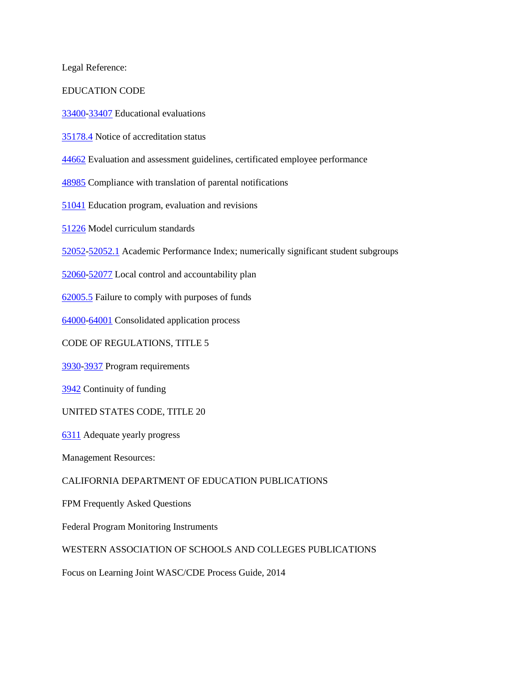Legal Reference:

#### EDUCATION CODE

[33400-](http://gamutonline.net/displayPolicy/131296/6)[33407](http://gamutonline.net/displayPolicy/131300/6) Educational evaluations

[35178.4](http://gamutonline.net/displayPolicy/249121/6) Notice of accreditation status

[44662](http://gamutonline.net/displayPolicy/138841/6) Evaluation and assessment guidelines, certificated employee performance

[48985](http://gamutonline.net/displayPolicy/132268/6) Compliance with translation of parental notifications

[51041](http://gamutonline.net/displayPolicy/132650/6) Education program, evaluation and revisions

[51226](http://gamutonline.net/displayPolicy/132678/6) Model curriculum standards

[52052-](http://gamutonline.net/displayPolicy/899522/6)[52052.1](http://gamutonline.net/displayPolicy/899523/6) Academic Performance Index; numerically significant student subgroups

[52060-](http://gamutonline.net/displayPolicy/1007011/6)[52077](http://gamutonline.net/displayPolicy/899537/6) Local control and accountability plan

[62005.5](http://gamutonline.net/displayPolicy/133926/6) Failure to comply with purposes of funds

[64000-](http://gamutonline.net/displayPolicy/133932/6)[64001](http://gamutonline.net/displayPolicy/133933/6) Consolidated application process

CODE OF REGULATIONS, TITLE 5

[3930](http://gamutonline.net/displayPolicy/186932/6)[-3937](http://gamutonline.net/displayPolicy/186939/6) Program requirements

[3942](http://gamutonline.net/displayPolicy/186942/6) Continuity of funding

UNITED STATES CODE, TITLE 20

[6311](http://gamutonline.net/displayPolicy/303162/6) Adequate yearly progress

Management Resources:

#### CALIFORNIA DEPARTMENT OF EDUCATION PUBLICATIONS

FPM Frequently Asked Questions

Federal Program Monitoring Instruments

### WESTERN ASSOCIATION OF SCHOOLS AND COLLEGES PUBLICATIONS

Focus on Learning Joint WASC/CDE Process Guide, 2014